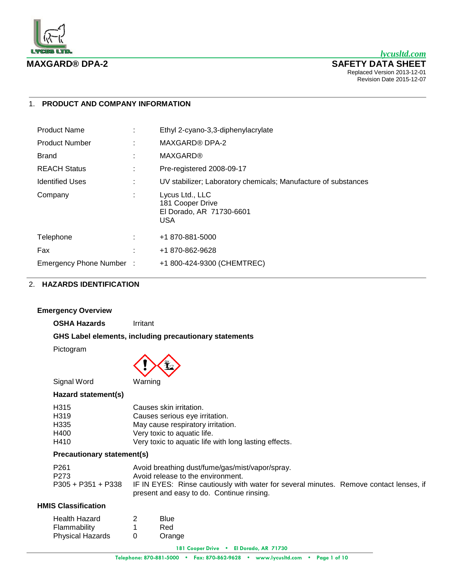

# 1. **PRODUCT AND COMPANY INFORMATION**

| <b>Product Name</b>     | Ethyl 2-cyano-3,3-diphenylacrylate                                            |
|-------------------------|-------------------------------------------------------------------------------|
| <b>Product Number</b>   | <b>MAXGARD® DPA-2</b>                                                         |
| Brand                   | <b>MAXGARD®</b>                                                               |
| <b>REACH Status</b>     | Pre-registered 2008-09-17                                                     |
| <b>Identified Uses</b>  | UV stabilizer; Laboratory chemicals; Manufacture of substances                |
| Company                 | Lycus Ltd., LLC<br>181 Cooper Drive<br>El Dorado, AR 71730-6601<br><b>USA</b> |
| Telephone               | +1 870-881-5000                                                               |
| Fax                     | +1 870-862-9628                                                               |
| Emergency Phone Number: | +1 800-424-9300 (CHEMTREC)                                                    |

# 2. **HAZARDS IDENTIFICATION**

## **Emergency Overview**

**OSHA Hazards** Irritant

**GHS Label elements, including precautionary statements**

Pictogram



# **Hazard statement(s)**

| H <sub>3</sub> 15 | Causes skin irritation.                               |
|-------------------|-------------------------------------------------------|
| H <sub>3</sub> 19 | Causes serious eye irritation.                        |
| H335              | May cause respiratory irritation.                     |
| H400              | Very toxic to aquatic life.                           |
| H410              | Very toxic to aquatic life with long lasting effects. |

# **Precautionary statement(s)**

| P261               | Avoid breathing dust/fume/gas/mist/vapor/spray.                                        |  |
|--------------------|----------------------------------------------------------------------------------------|--|
| P273               | Avoid release to the environment.                                                      |  |
| P305 + P351 + P338 | IF IN EYES: Rinse cautiously with water for several minutes. Remove contact lenses, if |  |
|                    | present and easy to do. Continue rinsing.                                              |  |

# **HMIS Classification**

| <b>Health Hazard</b>    | 2 | Blue   |
|-------------------------|---|--------|
| Flammability            | 1 | Red    |
| <b>Physical Hazards</b> | 0 | Orange |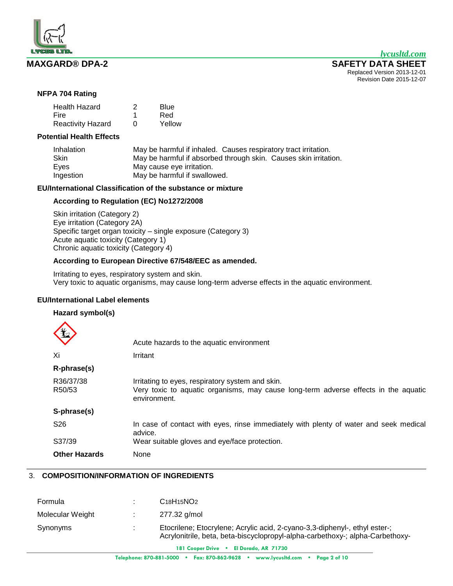

# **NFPA 704 Rating**

| <b>Health Hazard</b>     | 2 | Blue   |
|--------------------------|---|--------|
| Fire                     |   | Red    |
| <b>Reactivity Hazard</b> | U | Yellow |

# **Potential Health Effects**

| Inhalation | May be harmful if inhaled. Causes respiratory tract irritation.  |
|------------|------------------------------------------------------------------|
| Skin       | May be harmful if absorbed through skin. Causes skin irritation. |
| Eyes       | May cause eye irritation.                                        |
| Ingestion  | May be harmful if swallowed.                                     |

# **EU/International Classification of the substance or mixture**

# **According to Regulation (EC) No1272/2008**

Skin irritation (Category 2) Eye irritation (Category 2A) Specific target organ toxicity – single exposure (Category 3) Acute aquatic toxicity (Category 1) Chronic aquatic toxicity (Category 4)

# **According to European Directive 67/548/EEC as amended.**

Irritating to eyes, respiratory system and skin. Very toxic to aquatic organisms, may cause long-term adverse effects in the aquatic environment.

# **EU/International Label elements**

# **Hazard symbol(s)**

|                      | Acute hazards to the aquatic environment                                                                                                                |
|----------------------|---------------------------------------------------------------------------------------------------------------------------------------------------------|
| Xi                   | Irritant                                                                                                                                                |
| R-phrase(s)          |                                                                                                                                                         |
| R36/37/38<br>R50/53  | Irritating to eyes, respiratory system and skin.<br>Very toxic to aquatic organisms, may cause long-term adverse effects in the aquatic<br>environment. |
| S-phrase(s)          |                                                                                                                                                         |
| S <sub>26</sub>      | In case of contact with eyes, rinse immediately with plenty of water and seek medical<br>advice.                                                        |
| S37/39               | Wear suitable gloves and eye/face protection.                                                                                                           |
| <b>Other Hazards</b> | None                                                                                                                                                    |

# 3. **COMPOSITION/INFORMATION OF INGREDIENTS**

| Formula          | $C18H15NO2$                                                                                                                                                                            |
|------------------|----------------------------------------------------------------------------------------------------------------------------------------------------------------------------------------|
| Molecular Weight | 277.32 g/mol                                                                                                                                                                           |
| Synonyms         | Etocrilene; Etocrylene; Acrylic acid, 2-cyano-3,3-diphenyl-, ethyl ester-;<br>Acrylonitrile, beta, beta-biscyclopropyl-alpha-carbethoxy-; alpha-Carbethoxy-<br>101 8. N. FIN. 40 71700 |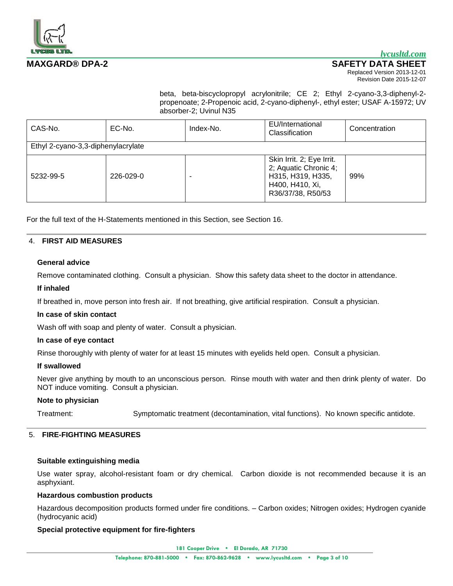

# *lycusltd.com*

# **MAXGARD® DPA-2 SAFETY DATA SHEET**

Replaced Version 2013-12-01 Revision Date 2015-12-07

beta, beta-biscyclopropyl acrylonitrile; CE 2; Ethyl 2-cyano-3,3-diphenyl-2 propenoate; 2-Propenoic acid, 2-cyano-diphenyl-, ethyl ester; USAF A-15972; UV absorber-2; Uvinul N35

| CAS-No.                            | EC-No.    | Index-No. | EU/International<br>Classification                                                                              | Concentration |
|------------------------------------|-----------|-----------|-----------------------------------------------------------------------------------------------------------------|---------------|
| Ethyl 2-cyano-3,3-diphenylacrylate |           |           |                                                                                                                 |               |
| 5232-99-5                          | 226-029-0 |           | Skin Irrit. 2; Eye Irrit.<br>2; Aquatic Chronic 4;<br>H315, H319, H335,<br>H400, H410, Xi,<br>R36/37/38, R50/53 | 99%           |

For the full text of the H-Statements mentioned in this Section, see Section 16.

### 4. **FIRST AID MEASURES**

### **General advice**

Remove contaminated clothing. Consult a physician. Show this safety data sheet to the doctor in attendance.

### **If inhaled**

If breathed in, move person into fresh air. If not breathing, give artificial respiration. Consult a physician.

#### **In case of skin contact**

Wash off with soap and plenty of water. Consult a physician.

#### **In case of eye contact**

Rinse thoroughly with plenty of water for at least 15 minutes with eyelids held open. Consult a physician.

# **If swallowed**

Never give anything by mouth to an unconscious person. Rinse mouth with water and then drink plenty of water. Do NOT induce vomiting. Consult a physician.

#### **Note to physician**

Treatment: Symptomatic treatment (decontamination, vital functions). No known specific antidote.

# 5. **FIRE-FIGHTING MEASURES**

### **Suitable extinguishing media**

Use water spray, alcohol-resistant foam or dry chemical. Carbon dioxide is not recommended because it is an asphyxiant.

## **Hazardous combustion products**

Hazardous decomposition products formed under fire conditions. – Carbon oxides; Nitrogen oxides; Hydrogen cyanide (hydrocyanic acid)

# **Special protective equipment for fire-fighters**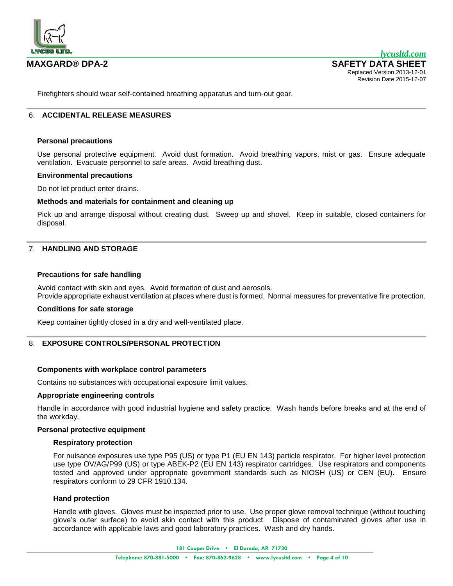

Firefighters should wear self-contained breathing apparatus and turn-out gear.

# 6. **ACCIDENTAL RELEASE MEASURES**

### **Personal precautions**

Use personal protective equipment. Avoid dust formation. Avoid breathing vapors, mist or gas. Ensure adequate ventilation. Evacuate personnel to safe areas. Avoid breathing dust.

### **Environmental precautions**

Do not let product enter drains.

### **Methods and materials for containment and cleaning up**

Pick up and arrange disposal without creating dust. Sweep up and shovel. Keep in suitable, closed containers for disposal.

# 7. **HANDLING AND STORAGE**

### **Precautions for safe handling**

Avoid contact with skin and eyes. Avoid formation of dust and aerosols. Provide appropriate exhaust ventilation at places where dust is formed. Normal measures for preventative fire protection.

## **Conditions for safe storage**

Keep container tightly closed in a dry and well-ventilated place.

# 8. **EXPOSURE CONTROLS/PERSONAL PROTECTION**

# **Components with workplace control parameters**

Contains no substances with occupational exposure limit values.

### **Appropriate engineering controls**

Handle in accordance with good industrial hygiene and safety practice. Wash hands before breaks and at the end of the workday.

#### **Personal protective equipment**

#### **Respiratory protection**

For nuisance exposures use type P95 (US) or type P1 (EU EN 143) particle respirator. For higher level protection use type OV/AG/P99 (US) or type ABEK-P2 (EU EN 143) respirator cartridges. Use respirators and components tested and approved under appropriate government standards such as NIOSH (US) or CEN (EU). Ensure respirators conform to 29 CFR 1910.134.

#### **Hand protection**

Handle with gloves. Gloves must be inspected prior to use. Use proper glove removal technique (without touching glove's outer surface) to avoid skin contact with this product. Dispose of contaminated gloves after use in accordance with applicable laws and good laboratory practices. Wash and dry hands.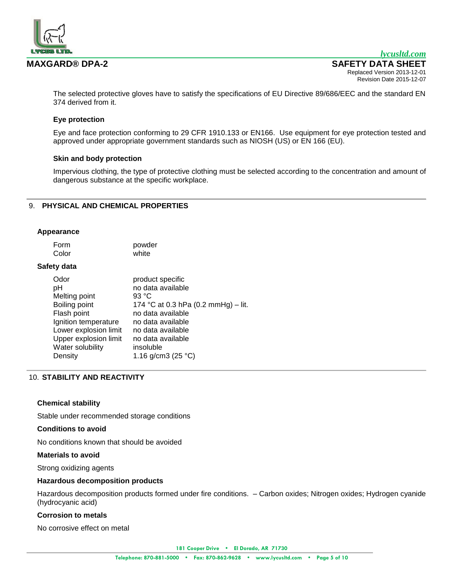

The selected protective gloves have to satisfy the specifications of EU Directive 89/686/EEC and the standard EN 374 derived from it.

# **Eye protection**

Eye and face protection conforming to 29 CFR 1910.133 or EN166. Use equipment for eye protection tested and approved under appropriate government standards such as NIOSH (US) or EN 166 (EU).

#### **Skin and body protection**

Impervious clothing, the type of protective clothing must be selected according to the concentration and amount of dangerous substance at the specific workplace.

# 9. **PHYSICAL AND CHEMICAL PROPERTIES**

#### **Appearance**

| Form  | powder |
|-------|--------|
| Color | white  |

### **Safety data**

| Odor                  | product specific                    |
|-----------------------|-------------------------------------|
| рH                    | no data available                   |
| Melting point         | 93 °C                               |
| Boiling point         | 174 °C at 0.3 hPa (0.2 mmHg) – lit. |
| Flash point           | no data available                   |
| Ignition temperature  | no data available                   |
| Lower explosion limit | no data available                   |
| Upper explosion limit | no data available                   |
| Water solubility      | insoluble                           |
| Density               | 1.16 g/cm3 (25 $^{\circ}$ C)        |

# 10. **STABILITY AND REACTIVITY**

#### **Chemical stability**

Stable under recommended storage conditions

#### **Conditions to avoid**

No conditions known that should be avoided

#### **Materials to avoid**

Strong oxidizing agents

### **Hazardous decomposition products**

Hazardous decomposition products formed under fire conditions. – Carbon oxides; Nitrogen oxides; Hydrogen cyanide (hydrocyanic acid)

### **Corrosion to metals**

No corrosive effect on metal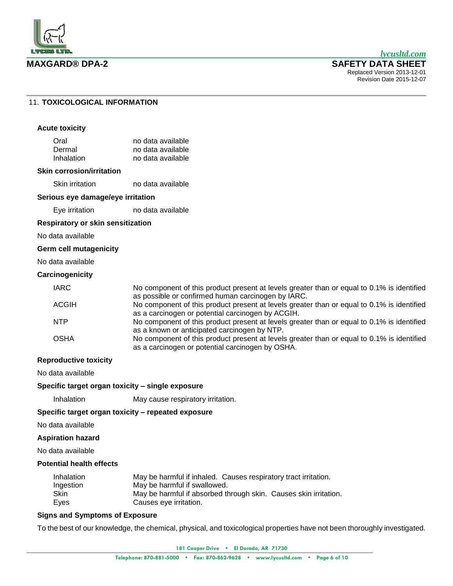

# 11. **TOXICOLOGICAL INFORMATION**

#### **Acute toxicity**

| Oral       | no data available |
|------------|-------------------|
| Dermal     | no data available |
| Inhalation | no data available |

#### **Skin corrosion/irritation**

Skin irritation no data available

#### **Serious eye damage/eye irritation**

Eye irritation no data available

#### **Respiratory or skin sensitization**

No data available

# **Germ cell mutagenicity**

No data available

# **Carcinogenicity**

| <b>IARC</b> | No component of this product present at levels greater than or equal to 0.1% is identified |
|-------------|--------------------------------------------------------------------------------------------|
|             | as possible or confirmed human carcinogen by IARC.                                         |
| ACGIH       | No component of this product present at levels greater than or equal to 0.1% is identified |
|             | as a carcinogen or potential carcinogen by ACGIH.                                          |
| NTP         | No component of this product present at levels greater than or equal to 0.1% is identified |
|             | as a known or anticipated carcinogen by NTP.                                               |
| OSHA        | No component of this product present at levels greater than or equal to 0.1% is identified |
|             | as a carcinogen or potential carcinogen by OSHA.                                           |

# **Reproductive toxicity**

No data available

#### **Specific target organ toxicity – single exposure**

Inhalation May cause respiratory irritation.

**Specific target organ toxicity – repeated exposure**

No data available

#### **Aspiration hazard**

No data available

# **Potential health effects**

| Inhalation | May be harmful if inhaled. Causes respiratory tract irritation.  |
|------------|------------------------------------------------------------------|
| Ingestion  | May be harmful if swallowed.                                     |
| Skin       | May be harmful if absorbed through skin. Causes skin irritation. |
| Eyes       | Causes eye irritation.                                           |

# **Signs and Symptoms of Exposure**

To the best of our knowledge, the chemical, physical, and toxicological properties have not been thoroughly investigated.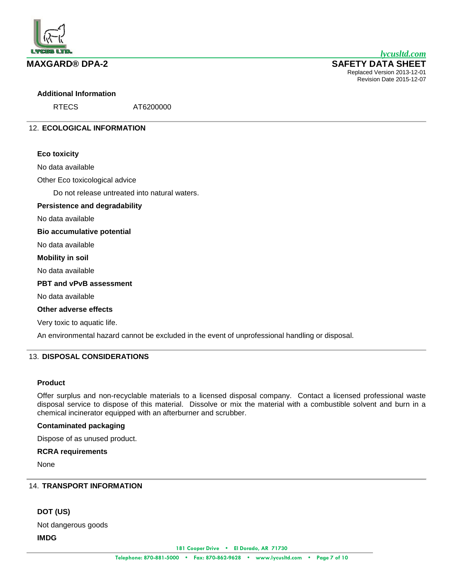

## **Additional Information**

RTECS AT6200000

# 12. **ECOLOGICAL INFORMATION**

### **Eco toxicity**

No data available

Other Eco toxicological advice

Do not release untreated into natural waters.

### **Persistence and degradability**

No data available

**Bio accumulative potential**

No data available

#### **Mobility in soil**

No data available

### **PBT and vPvB assessment**

No data available

# **Other adverse effects**

Very toxic to aquatic life.

An environmental hazard cannot be excluded in the event of unprofessional handling or disposal.

# 13. **DISPOSAL CONSIDERATIONS**

# **Product**

Offer surplus and non-recyclable materials to a licensed disposal company. Contact a licensed professional waste disposal service to dispose of this material. Dissolve or mix the material with a combustible solvent and burn in a chemical incinerator equipped with an afterburner and scrubber.

# **Contaminated packaging**

Dispose of as unused product.

# **RCRA requirements**

None

# 14. **TRANSPORT INFORMATION**

# **DOT (US)**

Not dangerous goods

**IMDG**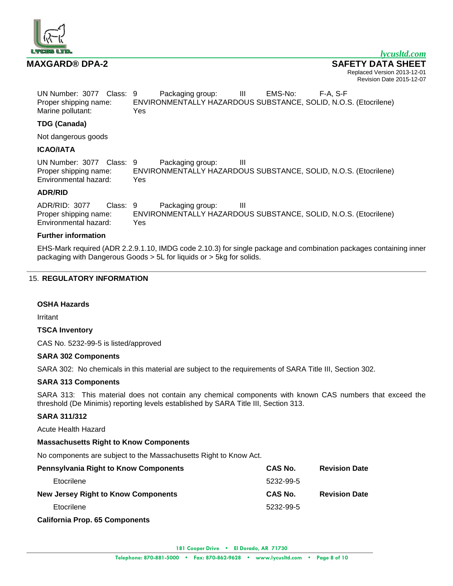

| UN Number: 3077 Class: 9 |     | Packaging group:                                                | Ш | EMS-No: | F-A S-F |  |
|--------------------------|-----|-----------------------------------------------------------------|---|---------|---------|--|
| Proper shipping name:    |     | ENVIRONMENTALLY HAZARDOUS SUBSTANCE, SOLID, N.O.S. (Etocrilene) |   |         |         |  |
| Marine pollutant:        | Yes |                                                                 |   |         |         |  |

# **TDG (Canada)**

Not dangerous goods

## **ICAO/IATA**

UN Number: 3077 Class: 9 Packaging group: III Proper shipping name: ENVIRONMENTALLY HAZARDOUS SUBSTANCE, SOLID, N.O.S. (Etocrilene) Environmental hazard: Yes

# **ADR/RID**

ADR/RID: 3077 Class: 9 Packaging group: III Proper shipping name: ENVIRONMENTALLY HAZARDOUS SUBSTANCE, SOLID, N.O.S. (Etocrilene) Environmental hazard: Yes

## **Further information**

EHS-Mark required (ADR 2.2.9.1.10, IMDG code 2.10.3) for single package and combination packages containing inner packaging with Dangerous Goods > 5L for liquids or > 5kg for solids.

# 15. **REGULATORY INFORMATION**

#### **OSHA Hazards**

Irritant

#### **TSCA Inventory**

CAS No. 5232-99-5 is listed/approved

# **SARA 302 Components**

SARA 302: No chemicals in this material are subject to the requirements of SARA Title III, Section 302.

# **SARA 313 Components**

SARA 313: This material does not contain any chemical components with known CAS numbers that exceed the threshold (De Minimis) reporting levels established by SARA Title III, Section 313.

# **SARA 311/312**

Acute Health Hazard

# **Massachusetts Right to Know Components**

No components are subject to the Massachusetts Right to Know Act.

| <b>Pennsylvania Right to Know Components</b> | CAS No.   | <b>Revision Date</b> |
|----------------------------------------------|-----------|----------------------|
| Etocrilene                                   | 5232-99-5 |                      |
| <b>New Jersey Right to Know Components</b>   | CAS No.   | <b>Revision Date</b> |
| Etocrilene                                   | 5232-99-5 |                      |
| <b>California Prop. 65 Components</b>        |           |                      |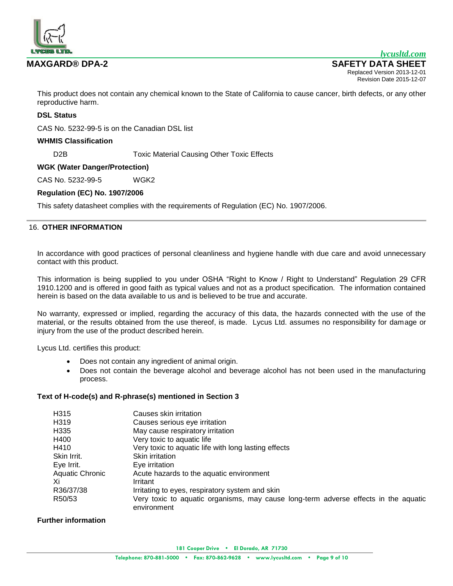

This product does not contain any chemical known to the State of California to cause cancer, birth defects, or any other reproductive harm.

# **DSL Status**

CAS No. 5232-99-5 is on the Canadian DSL list

# **WHMIS Classification**

D2B Toxic Material Causing Other Toxic Effects

# **WGK (Water Danger/Protection)**

CAS No. 5232-99-5 WGK2

# **Regulation (EC) No. 1907/2006**

This safety datasheet complies with the requirements of Regulation (EC) No. 1907/2006.

### 16. **OTHER INFORMATION**

In accordance with good practices of personal cleanliness and hygiene handle with due care and avoid unnecessary contact with this product.

This information is being supplied to you under OSHA "Right to Know / Right to Understand" Regulation 29 CFR 1910.1200 and is offered in good faith as typical values and not as a product specification. The information contained herein is based on the data available to us and is believed to be true and accurate.

No warranty, expressed or implied, regarding the accuracy of this data, the hazards connected with the use of the material, or the results obtained from the use thereof, is made. Lycus Ltd. assumes no responsibility for damage or injury from the use of the product described herein.

Lycus Ltd. certifies this product:

- Does not contain any ingredient of animal origin.
- Does not contain the beverage alcohol and beverage alcohol has not been used in the manufacturing process.

# **Text of H-code(s) and R-phrase(s) mentioned in Section 3**

| H315            | Causes skin irritation                                                                             |
|-----------------|----------------------------------------------------------------------------------------------------|
| H319            | Causes serious eye irritation                                                                      |
| H335            | May cause respiratory irritation                                                                   |
| H400            | Very toxic to aquatic life                                                                         |
| H410            | Very toxic to aquatic life with long lasting effects                                               |
| Skin Irrit.     | <b>Skin irritation</b>                                                                             |
| Eye Irrit.      | Eye irritation                                                                                     |
| Aquatic Chronic | Acute hazards to the aquatic environment                                                           |
| Xi              | Irritant                                                                                           |
| R36/37/38       | Irritating to eyes, respiratory system and skin                                                    |
| R50/53          | Very toxic to aquatic organisms, may cause long-term adverse effects in the aquatic<br>environment |

# **Further information**